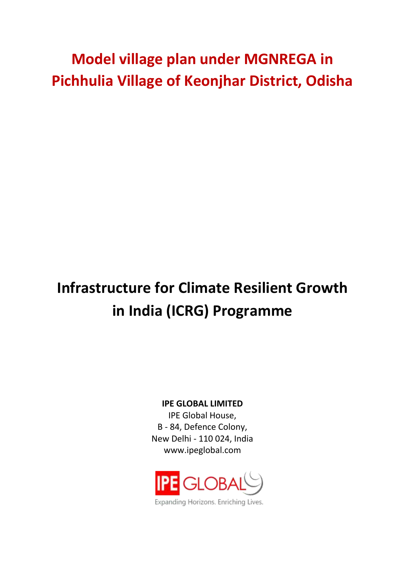## **Model village plan under MGNREGA in Pichhulia Village of Keonjhar District, Odisha**

# **Infrastructure for Climate Resilient Growth in India (ICRG) Programme**

**IPE GLOBAL LIMITED**

IPE Global House, B - 84, Defence Colony, New Delhi - 110 024, India www.ipeglobal.com

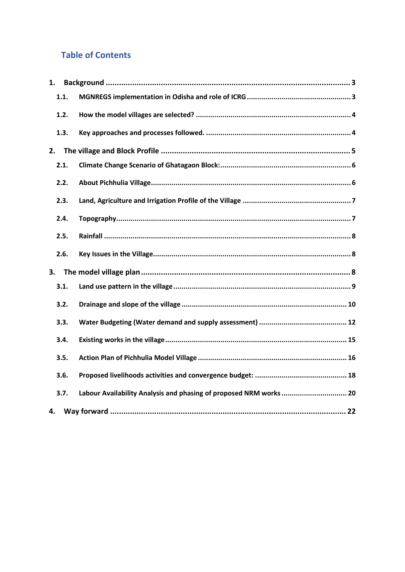## **Table of Contents**

| 1.   |                                                                    |
|------|--------------------------------------------------------------------|
| 1.1. |                                                                    |
| 1.2. |                                                                    |
| 1.3. |                                                                    |
| 2.   |                                                                    |
| 2.1. |                                                                    |
| 2.2. |                                                                    |
| 2.3. |                                                                    |
| 2.4. |                                                                    |
| 2.5. |                                                                    |
| 2.6. |                                                                    |
| 3.   |                                                                    |
| 3.1. |                                                                    |
| 3.2. |                                                                    |
| 3.3. |                                                                    |
| 3.4. |                                                                    |
| 3.5. |                                                                    |
| 3.6. |                                                                    |
| 3.7. | Labour Availability Analysis and phasing of proposed NRM works  20 |
| 4.   |                                                                    |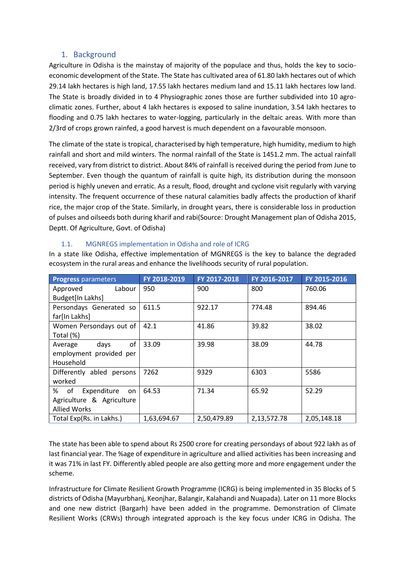### 1. Background

<span id="page-2-0"></span>Agriculture in Odisha is the mainstay of majority of the populace and thus, holds the key to socioeconomic development of the State. The State has cultivated area of 61.80 lakh hectares out of which 29.14 lakh hectares is high land, 17.55 lakh hectares medium land and 15.11 lakh hectares low land. The State is broadly divided in to 4 Physiographic zones those are further subdivided into 10 agroclimatic zones. Further, about 4 lakh hectares is exposed to saline inundation, 3.54 lakh hectares to flooding and 0.75 lakh hectares to water-logging, particularly in the deltaic areas. With more than 2/3rd of crops grown rainfed, a good harvest is much dependent on a favourable monsoon.

The climate of the state is tropical, characterised by high temperature, high humidity, medium to high rainfall and short and mild winters. The normal rainfall of the State is 1451.2 mm. The actual rainfall received, vary from district to district. About 84% of rainfall is received during the period from June to September. Even though the quantum of rainfall is quite high, its distribution during the monsoon period is highly uneven and erratic. As a result, flood, drought and cyclone visit regularly with varying intensity. The frequent occurrence of these natural calamities badly affects the production of kharif rice, the major crop of the State. Similarly, in drought years, there is considerable loss in production of pulses and oilseeds both during kharif and rabi(Source: Drought Management plan of Odisha 2015, Deptt. Of Agriculture, Govt. of Odisha)

| <b>Progress parameters</b>    | FY 2018-2019 | FY 2017-2018 | FY 2016-2017 | FY 2015-2016 |
|-------------------------------|--------------|--------------|--------------|--------------|
| Approved<br>Labour            | 950          | 900          | 800          | 760.06       |
| Budget[In Lakhs]              |              |              |              |              |
| Persondays Generated so       | 611.5        | 922.17       | 774.48       | 894.46       |
| far[In Lakhs]                 |              |              |              |              |
| Women Persondays out of       | 42.1         | 41.86        | 39.82        | 38.02        |
| Total (%)                     |              |              |              |              |
| of<br>days<br>Average         | 33.09        | 39.98        | 38.09        | 44.78        |
| employment provided per       |              |              |              |              |
| Household                     |              |              |              |              |
| Differently abled persons     | 7262         | 9329         | 6303         | 5586         |
| worked                        |              |              |              |              |
| %<br>of<br>Expenditure<br>on. | 64.53        | 71.34        | 65.92        | 52.29        |
| Agriculture & Agriculture     |              |              |              |              |
| <b>Allied Works</b>           |              |              |              |              |
| Total Exp(Rs. in Lakhs.)      | 1,63,694.67  | 2,50,479.89  | 2,13,572.78  | 2,05,148.18  |

#### 1.1. MGNREGS implementation in Odisha and role of ICRG

<span id="page-2-1"></span>In a state like Odisha, effective implementation of MGNREGS is the key to balance the degraded ecosystem in the rural areas and enhance the livelihoods security of rural population.

The state has been able to spend about Rs 2500 crore for creating persondays of about 922 lakh as of last financial year. The %age of expenditure in agriculture and allied activities has been increasing and it was 71% in last FY. Differently abled people are also getting more and more engagement under the scheme.

Infrastructure for Climate Resilient Growth Programme (ICRG) is being implemented in 35 Blocks of 5 districts of Odisha (Mayurbhanj, Keonjhar, Balangir, Kalahandi and Nuapada). Later on 11 more Blocks and one new district (Bargarh) have been added in the programme. Demonstration of Climate Resilient Works (CRWs) through integrated approach is the key focus under ICRG in Odisha. The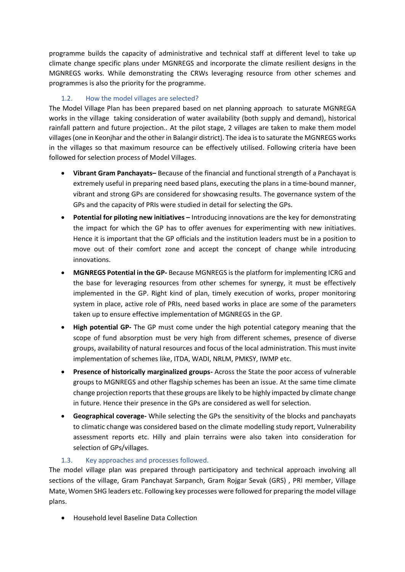programme builds the capacity of administrative and technical staff at different level to take up climate change specific plans under MGNREGS and incorporate the climate resilient designs in the MGNREGS works. While demonstrating the CRWs leveraging resource from other schemes and programmes is also the priority for the programme.

## 1.2. How the model villages are selected?

<span id="page-3-0"></span>The Model Village Plan has been prepared based on net planning approach to saturate MGNREGA works in the village taking consideration of water availability (both supply and demand), historical rainfall pattern and future projection.. At the pilot stage, 2 villages are taken to make them model villages(one in Keonjhar and the other in Balangir district). The idea is to saturate the MGNREGS works in the villages so that maximum resource can be effectively utilised. Following criteria have been followed for selection process of Model Villages.

- **Vibrant Gram Panchayats–** Because of the financial and functional strength of a Panchayat is extremely useful in preparing need based plans, executing the plans in a time-bound manner, vibrant and strong GPs are considered for showcasing results. The governance system of the GPs and the capacity of PRIs were studied in detail for selecting the GPs.
- **Potential for piloting new initiatives –** Introducing innovations are the key for demonstrating the impact for which the GP has to offer avenues for experimenting with new initiatives. Hence it is important that the GP officials and the institution leaders must be in a position to move out of their comfort zone and accept the concept of change while introducing innovations.
- **MGNREGS Potential in the GP-** Because MGNREGS is the platform for implementing ICRG and the base for leveraging resources from other schemes for synergy, it must be effectively implemented in the GP. Right kind of plan, timely execution of works, proper monitoring system in place, active role of PRIs, need based works in place are some of the parameters taken up to ensure effective implementation of MGNREGS in the GP.
- **High potential GP-** The GP must come under the high potential category meaning that the scope of fund absorption must be very high from different schemes, presence of diverse groups, availability of natural resources and focus of the local administration. This must invite implementation of schemes like, ITDA, WADI, NRLM, PMKSY, IWMP etc.
- **Presence of historically marginalized groups-** Across the State the poor access of vulnerable groups to MGNREGS and other flagship schemes has been an issue. At the same time climate change projection reports that these groups are likely to be highly impacted by climate change in future. Hence their presence in the GPs are considered as well for selection.
- **Geographical coverage-** While selecting the GPs the sensitivity of the blocks and panchayats to climatic change was considered based on the climate modelling study report, Vulnerability assessment reports etc. Hilly and plain terrains were also taken into consideration for selection of GPs/villages.

## 1.3. Key approaches and processes followed.

<span id="page-3-1"></span>The model village plan was prepared through participatory and technical approach involving all sections of the village, Gram Panchayat Sarpanch, Gram Rojgar Sevak (GRS) , PRI member, Village Mate, Women SHG leaders etc. Following key processes were followed for preparing the model village plans.

• Household level Baseline Data Collection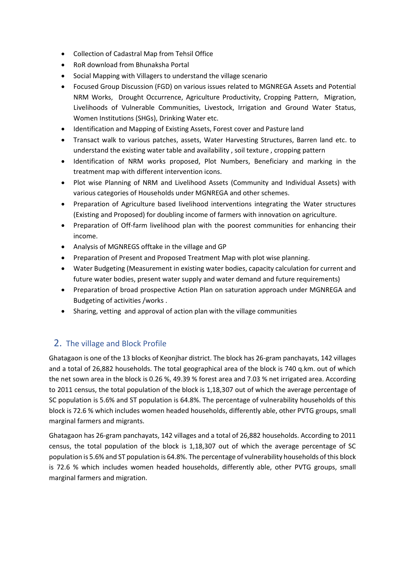- Collection of Cadastral Map from Tehsil Office
- RoR download from Bhunaksha Portal
- Social Mapping with Villagers to understand the village scenario
- Focused Group Discussion (FGD) on various issues related to MGNREGA Assets and Potential NRM Works, Drought Occurrence, Agriculture Productivity, Cropping Pattern, Migration, Livelihoods of Vulnerable Communities, Livestock, Irrigation and Ground Water Status, Women Institutions (SHGs), Drinking Water etc.
- Identification and Mapping of Existing Assets, Forest cover and Pasture land
- Transact walk to various patches, assets, Water Harvesting Structures, Barren land etc. to understand the existing water table and availability , soil texture , cropping pattern
- Identification of NRM works proposed, Plot Numbers, Beneficiary and marking in the treatment map with different intervention icons.
- Plot wise Planning of NRM and Livelihood Assets (Community and Individual Assets) with various categories of Households under MGNREGA and other schemes.
- Preparation of Agriculture based livelihood interventions integrating the Water structures (Existing and Proposed) for doubling income of farmers with innovation on agriculture.
- Preparation of Off-farm livelihood plan with the poorest communities for enhancing their income.
- Analysis of MGNREGS offtake in the village and GP
- Preparation of Present and Proposed Treatment Map with plot wise planning.
- Water Budgeting (Measurement in existing water bodies, capacity calculation for current and future water bodies, present water supply and water demand and future requirements)
- Preparation of broad prospective Action Plan on saturation approach under MGNREGA and Budgeting of activities /works .
- Sharing, vetting and approval of action plan with the village communities

## <span id="page-4-0"></span>2. The village and Block Profile

Ghatagaon is one of the 13 blocks of Keonjhar district. The block has 26-gram panchayats, 142 villages and a total of 26,882 households. The total geographical area of the block is 740 q.km. out of which the net sown area in the block is 0.26 %, 49.39 % forest area and 7.03 % net irrigated area. According to 2011 census, the total population of the block is 1,18,307 out of which the average percentage of SC population is 5.6% and ST population is 64.8%. The percentage of vulnerability households of this block is 72.6 % which includes women headed households, differently able, other PVTG groups, small marginal farmers and migrants.

Ghatagaon has 26-gram panchayats, 142 villages and a total of 26,882 households. According to 2011 census, the total population of the block is 1,18,307 out of which the average percentage of SC population is 5.6% and ST population is 64.8%. The percentage of vulnerability households of this block is 72.6 % which includes women headed households, differently able, other PVTG groups, small marginal farmers and migration.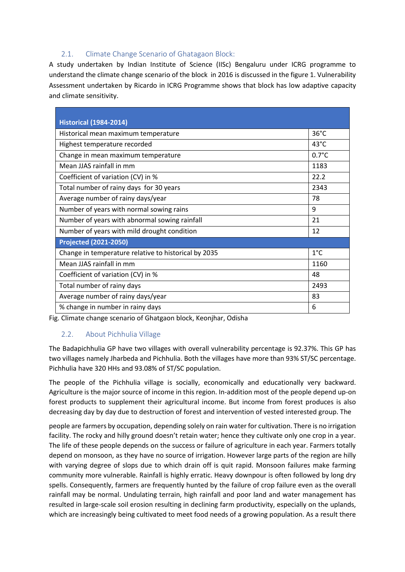## 2.1. Climate Change Scenario of Ghatagaon Block:

<span id="page-5-0"></span>A study undertaken by Indian Institute of Science (IISc) Bengaluru under ICRG programme to understand the climate change scenario of the block in 2016 is discussed in the figure 1. Vulnerability Assessment undertaken by Ricardo in ICRG Programme shows that block has low adaptive capacity and climate sensitivity.

| <b>Historical (1984-2014)</b>                        |                 |
|------------------------------------------------------|-----------------|
| Historical mean maximum temperature                  | $36^{\circ}$ C  |
| Highest temperature recorded                         | $43^{\circ}$ C  |
| Change in mean maximum temperature                   | $0.7^{\circ}$ C |
| Mean JJAS rainfall in mm                             | 1183            |
| Coefficient of variation (CV) in %                   | 22.2            |
| Total number of rainy days for 30 years              | 2343            |
| Average number of rainy days/year                    | 78              |
| Number of years with normal sowing rains             | 9               |
| Number of years with abnormal sowing rainfall        | 21              |
| Number of years with mild drought condition          | 12              |
| <b>Projected (2021-2050)</b>                         |                 |
| Change in temperature relative to historical by 2035 | $1^{\circ}$ C   |
| Mean JJAS rainfall in mm                             | 1160            |
| Coefficient of variation (CV) in %                   | 48              |
| Total number of rainy days                           | 2493            |
| Average number of rainy days/year                    | 83              |
| % change in number in rainy days                     | 6               |

Fig. Climate change scenario of Ghatgaon block, Keonjhar, Odisha

## <span id="page-5-1"></span>2.2. About Pichhulia Village

The Badapichhulia GP have two villages with overall vulnerability percentage is 92.37%. This GP has two villages namely Jharbeda and Pichhulia. Both the villages have more than 93% ST/SC percentage. Pichhulia have 320 HHs and 93.08% of ST/SC population.

The people of the Pichhulia village is socially, economically and educationally very backward. Agriculture is the major source of income in this region. In-addition most of the people depend up-on forest products to supplement their agricultural income. But income from forest produces is also decreasing day by day due to destruction of forest and intervention of vested interested group. The

people are farmers by occupation, depending solely on rain water for cultivation. There is no irrigation facility. The rocky and hilly ground doesn't retain water; hence they cultivate only one crop in a year. The life of these people depends on the success or failure of agriculture in each year. Farmers totally depend on monsoon, as they have no source of irrigation. However large parts of the region are hilly with varying degree of slops due to which drain off is quit rapid. Monsoon failures make farming community more vulnerable. Rainfall is highly erratic. Heavy downpour is often followed by long dry spells. Consequently, farmers are frequently hunted by the failure of crop failure even as the overall rainfall may be normal. Undulating terrain, high rainfall and poor land and water management has resulted in large-scale soil erosion resulting in declining farm productivity, especially on the uplands, which are increasingly being cultivated to meet food needs of a growing population. As a result there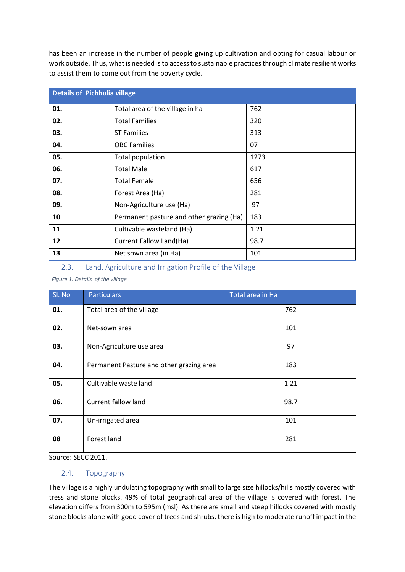has been an increase in the number of people giving up cultivation and opting for casual labour or work outside. Thus, what is needed is to access to sustainable practices through climate resilient works to assist them to come out from the poverty cycle.

| <b>Details of Pichhulia village</b> |                                          |      |  |  |
|-------------------------------------|------------------------------------------|------|--|--|
| 01.                                 | Total area of the village in ha          | 762  |  |  |
| 02.                                 | <b>Total Families</b>                    | 320  |  |  |
| 03.                                 | <b>ST Families</b>                       | 313  |  |  |
| 04.                                 | <b>OBC Families</b>                      | 07   |  |  |
| 05.                                 | Total population                         | 1273 |  |  |
| 06.                                 | <b>Total Male</b>                        | 617  |  |  |
| 07.                                 | <b>Total Female</b>                      | 656  |  |  |
| 08.                                 | Forest Area (Ha)                         | 281  |  |  |
| 09.                                 | Non-Agriculture use (Ha)                 | 97   |  |  |
| 10                                  | Permanent pasture and other grazing (Ha) | 183  |  |  |
| 11                                  | Cultivable wasteland (Ha)                | 1.21 |  |  |
| 12                                  | Current Fallow Land(Ha)                  | 98.7 |  |  |
| 13                                  | Net sown area (in Ha)                    | 101  |  |  |

#### <span id="page-6-0"></span>2.3. Land, Agriculture and Irrigation Profile of the Village

*Figure 1: Details of the village*

| Sl. No | <b>Particulars</b>                       | Total area in Ha |
|--------|------------------------------------------|------------------|
| 01.    | Total area of the village                | 762              |
| 02.    | Net-sown area                            | 101              |
| 03.    | Non-Agriculture use area                 | 97               |
| 04.    | Permanent Pasture and other grazing area | 183              |
| 05.    | Cultivable waste land                    | 1.21             |
| 06.    | Current fallow land                      | 98.7             |
| 07.    | Un-irrigated area                        | 101              |
| 08     | Forest land                              | 281              |

Source: SECC 2011.

#### <span id="page-6-1"></span>2.4. Topography

The village is a highly undulating topography with small to large size hillocks/hills mostly covered with tress and stone blocks. 49% of total geographical area of the village is covered with forest. The elevation differs from 300m to 595m (msl). As there are small and steep hillocks covered with mostly stone blocks alone with good cover of trees and shrubs, there is high to moderate runoff impact in the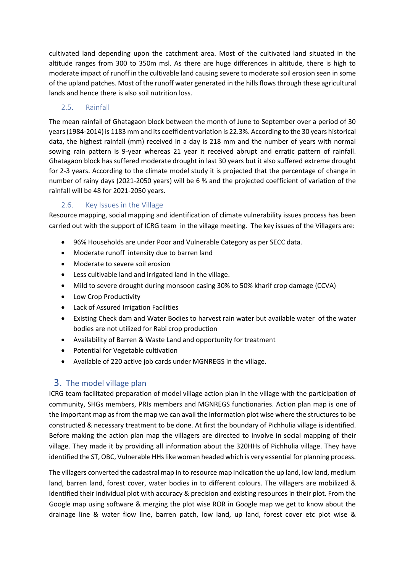cultivated land depending upon the catchment area. Most of the cultivated land situated in the altitude ranges from 300 to 350m msl. As there are huge differences in altitude, there is high to moderate impact of runoff in the cultivable land causing severe to moderate soil erosion seen in some of the upland patches. Most of the runoff water generated in the hills flows through these agricultural lands and hence there is also soil nutrition loss.

## <span id="page-7-0"></span>2.5. Rainfall

The mean rainfall of Ghatagaon block between the month of June to September over a period of 30 years (1984-2014) is 1183 mm and its coefficient variation is 22.3%. According to the 30 years historical data, the highest rainfall (mm) received in a day is 218 mm and the number of years with normal sowing rain pattern is 9-year whereas 21 year it received abrupt and erratic pattern of rainfall. Ghatagaon block has suffered moderate drought in last 30 years but it also suffered extreme drought for 2-3 years. According to the climate model study it is projected that the percentage of change in number of rainy days (2021-2050 years) will be 6 % and the projected coefficient of variation of the rainfall will be 48 for 2021-2050 years.

## 2.6. Key Issues in the Village

<span id="page-7-1"></span>Resource mapping, social mapping and identification of climate vulnerability issues process has been carried out with the support of ICRG team in the village meeting. The key issues of the Villagers are:

- 96% Households are under Poor and Vulnerable Category as per SECC data.
- Moderate runoff intensity due to barren land
- Moderate to severe soil erosion
- Less cultivable land and irrigated land in the village.
- Mild to severe drought during monsoon casing 30% to 50% kharif crop damage (CCVA)
- Low Crop Productivity
- Lack of Assured Irrigation Facilities
- Existing Check dam and Water Bodies to harvest rain water but available water of the water bodies are not utilized for Rabi crop production
- Availability of Barren & Waste Land and opportunity for treatment
- Potential for Vegetable cultivation
- Available of 220 active job cards under MGNREGS in the village.

## <span id="page-7-2"></span>3. The model village plan

ICRG team facilitated preparation of model village action plan in the village with the participation of community, SHGs members, PRIs members and MGNREGS functionaries. Action plan map is one of the important map as from the map we can avail the information plot wise where the structures to be constructed & necessary treatment to be done. At first the boundary of Pichhulia village is identified. Before making the action plan map the villagers are directed to involve in social mapping of their village. They made it by providing all information about the 320HHs of Pichhulia village. They have identified the ST, OBC, Vulnerable HHs like woman headed which is very essential for planning process.

The villagers converted the cadastral map in to resource map indication the up land, low land, medium land, barren land, forest cover, water bodies in to different colours. The villagers are mobilized & identified their individual plot with accuracy & precision and existing resources in their plot. From the Google map using software & merging the plot wise ROR in Google map we get to know about the drainage line & water flow line, barren patch, low land, up land, forest cover etc plot wise &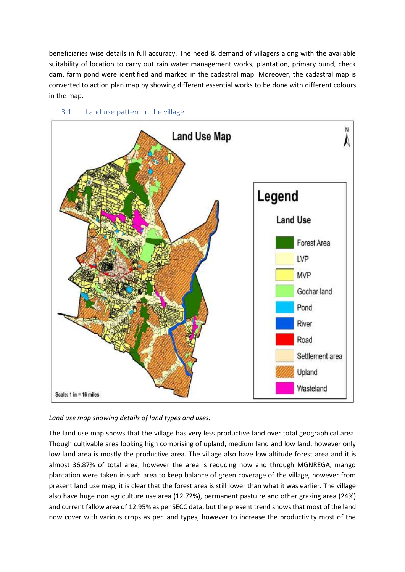beneficiaries wise details in full accuracy. The need & demand of villagers along with the available suitability of location to carry out rain water management works, plantation, primary bund, check dam, farm pond were identified and marked in the cadastral map. Moreover, the cadastral map is converted to action plan map by showing different essential works to be done with different colours in the map.

<span id="page-8-0"></span>

## 3.1. Land use pattern in the village

*Land use map showing details of land types and uses.*

The land use map shows that the village has very less productive land over total geographical area. Though cultivable area looking high comprising of upland, medium land and low land, however only low land area is mostly the productive area. The village also have low altitude forest area and it is almost 36.87% of total area, however the area is reducing now and through MGNREGA, mango plantation were taken in such area to keep balance of green coverage of the village, however from present land use map, it is clear that the forest area is still lower than what it was earlier. The village also have huge non agriculture use area (12.72%), permanent pastu re and other grazing area (24%) and current fallow area of 12.95% as per SECC data, but the present trend shows that most of the land now cover with various crops as per land types, however to increase the productivity most of the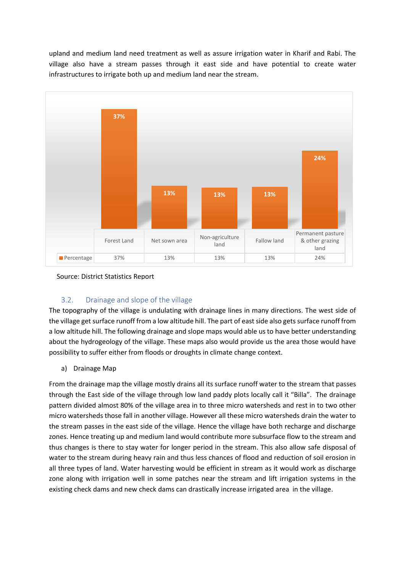upland and medium land need treatment as well as assure irrigation water in Kharif and Rabi. The village also have a stream passes through it east side and have potential to create water infrastructures to irrigate both up and medium land near the stream.



Source: District Statistics Report

## 3.2. Drainage and slope of the village

<span id="page-9-0"></span>The topography of the village is undulating with drainage lines in many directions. The west side of the village get surface runoff from a low altitude hill. The part of east side also gets surface runoff from a low altitude hill. The following drainage and slope maps would able us to have better understanding about the hydrogeology of the village. These maps also would provide us the area those would have possibility to suffer either from floods or droughts in climate change context.

a) Drainage Map

From the drainage map the village mostly drains all its surface runoff water to the stream that passes through the East side of the village through low land paddy plots locally call it "Billa". The drainage pattern divided almost 80% of the village area in to three micro watersheds and rest in to two other micro watersheds those fall in another village. However all these micro watersheds drain the water to the stream passes in the east side of the village. Hence the village have both recharge and discharge zones. Hence treating up and medium land would contribute more subsurface flow to the stream and thus changes is there to stay water for longer period in the stream. This also allow safe disposal of water to the stream during heavy rain and thus less chances of flood and reduction of soil erosion in all three types of land. Water harvesting would be efficient in stream as it would work as discharge zone along with irrigation well in some patches near the stream and lift irrigation systems in the existing check dams and new check dams can drastically increase irrigated area in the village.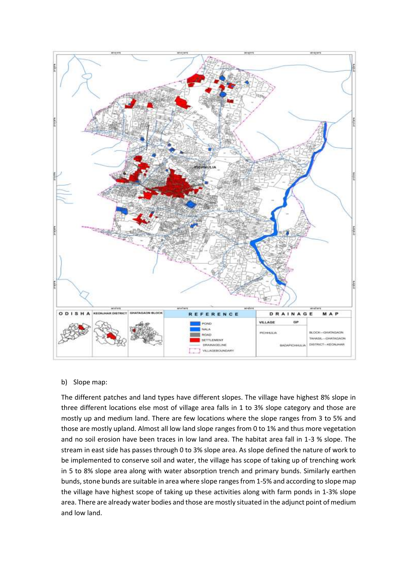

### b) Slope map:

The different patches and land types have different slopes. The village have highest 8% slope in three different locations else most of village area falls in 1 to 3% slope category and those are mostly up and medium land. There are few locations where the slope ranges from 3 to 5% and those are mostly upland. Almost all low land slope ranges from 0 to 1% and thus more vegetation and no soil erosion have been traces in low land area. The habitat area fall in 1-3 % slope. The stream in east side has passes through 0 to 3% slope area. As slope defined the nature of work to be implemented to conserve soil and water, the village has scope of taking up of trenching work in 5 to 8% slope area along with water absorption trench and primary bunds. Similarly earthen bunds, stone bunds are suitable in area where slope ranges from 1-5% and according to slope map the village have highest scope of taking up these activities along with farm ponds in 1-3% slope area. There are already water bodies and those are mostly situated in the adjunct point of medium and low land.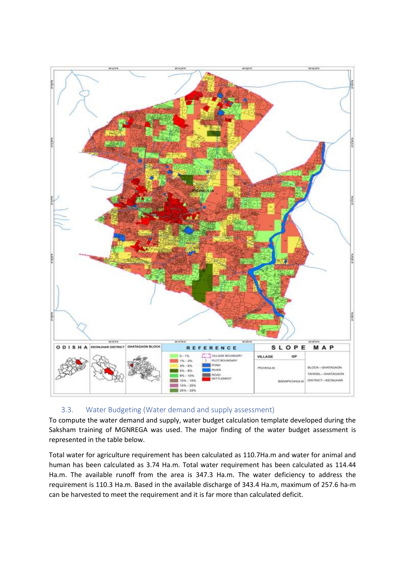

## 3.3. Water Budgeting (Water demand and supply assessment)

<span id="page-11-0"></span>To compute the water demand and supply, water budget calculation template developed during the Saksham training of MGNREGA was used. The major finding of the water budget assessment is represented in the table below.

Total water for agriculture requirement has been calculated as 110.7Ha.m and water for animal and human has been calculated as 3.74 Ha.m. Total water requirement has been calculated as 114.44 Ha.m. The available runoff from the area is 347.3 Ha.m. The water deficiency to address the requirement is 110.3 Ha.m. Based in the available discharge of 343.4 Ha.m, maximum of 257.6 ha-m can be harvested to meet the requirement and it is far more than calculated deficit.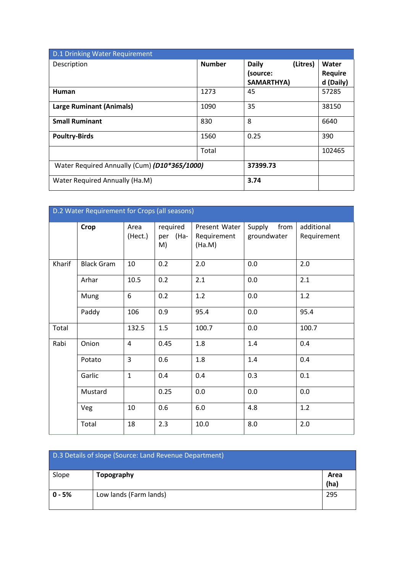| D.1 Drinking Water Requirement               |               |                                                    |                                      |  |  |
|----------------------------------------------|---------------|----------------------------------------------------|--------------------------------------|--|--|
| Description                                  | <b>Number</b> | (Litres)<br><b>Daily</b><br>(source:<br>SAMARTHYA) | Water<br><b>Require</b><br>d (Daily) |  |  |
| Human                                        | 1273          | 45                                                 | 57285                                |  |  |
| <b>Large Ruminant (Animals)</b>              | 1090          | 35                                                 | 38150                                |  |  |
| <b>Small Ruminant</b>                        | 830           | 8                                                  | 6640                                 |  |  |
| <b>Poultry-Birds</b>                         | 1560          | 0.25                                               | 390                                  |  |  |
|                                              | Total         |                                                    | 102465                               |  |  |
| Water Required Annually (Cum) (D10*365/1000) |               | 37399.73                                           |                                      |  |  |
| Water Required Annually (Ha.M)               |               | 3.74                                               |                                      |  |  |

| D.2 Water Requirement for Crops (all seasons) |                   |                 |                            |                                        |                               |                           |
|-----------------------------------------------|-------------------|-----------------|----------------------------|----------------------------------------|-------------------------------|---------------------------|
|                                               | <b>Crop</b>       | Area<br>(Hect.) | required<br>per (Ha-<br>M) | Present Water<br>Requirement<br>(Ha.M) | from<br>Supply<br>groundwater | additional<br>Requirement |
| Kharif                                        | <b>Black Gram</b> | 10              | 0.2                        | 2.0                                    | 0.0                           | 2.0                       |
|                                               | Arhar             | 10.5            | 0.2                        | 2.1                                    | 0.0                           | 2.1                       |
|                                               | Mung              | 6               | 0.2                        | 1.2                                    | 0.0                           | 1.2                       |
|                                               | Paddy             | 106             | 0.9                        | 95.4                                   | 0.0                           | 95.4                      |
| Total                                         |                   | 132.5           | 1.5                        | 100.7                                  | 0.0                           | 100.7                     |
| Rabi                                          | Onion             | $\overline{4}$  | 0.45                       | 1.8                                    | 1.4                           | 0.4                       |
|                                               | Potato            | $\overline{3}$  | 0.6                        | 1.8                                    | 1.4                           | 0.4                       |
|                                               | Garlic            | $\mathbf{1}$    | 0.4                        | 0.4                                    | 0.3                           | 0.1                       |
|                                               | Mustard           |                 | 0.25                       | 0.0                                    | 0.0                           | 0.0                       |
|                                               | Veg               | 10              | 0.6                        | $6.0\,$                                | 4.8                           | 1.2                       |
|                                               | Total             | 18              | 2.3                        | 10.0                                   | 8.0                           | 2.0                       |

| D.3 Details of slope (Source: Land Revenue Department) |                        |              |  |
|--------------------------------------------------------|------------------------|--------------|--|
| Slope                                                  | <b>Topography</b>      | Area<br>(ha) |  |
| $0 - 5%$                                               | Low lands (Farm lands) | 295          |  |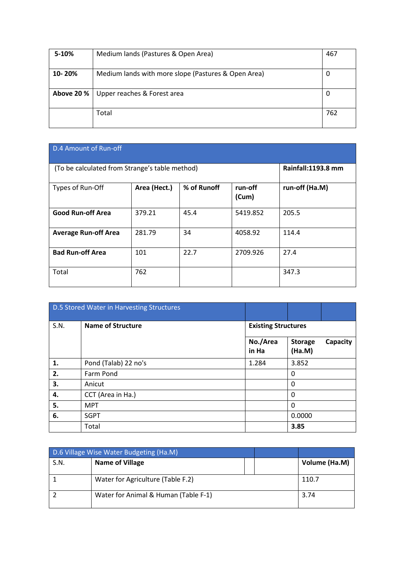| 5-10%      | Medium lands (Pastures & Open Area)                 | 467 |
|------------|-----------------------------------------------------|-----|
| 10-20%     | Medium lands with more slope (Pastures & Open Area) | 0   |
| Above 20 % | Upper reaches & Forest area                         | 0   |
|            | Total                                               | 762 |

| D.4 Amount of Run-off                          |              |                    |                  |                |  |
|------------------------------------------------|--------------|--------------------|------------------|----------------|--|
| (To be calculated from Strange's table method) |              | Rainfall:1193.8 mm |                  |                |  |
| Types of Run-Off                               | Area (Hect.) | % of Runoff        | run-off<br>(Cum) | run-off (Ha.M) |  |
| <b>Good Run-off Area</b>                       | 379.21       | 45.4               | 5419.852         | 205.5          |  |
| <b>Average Run-off Area</b>                    | 281.79       | 34                 | 4058.92          | 114.4          |  |
| <b>Bad Run-off Area</b>                        | 101          | 22.7               | 2709.926         | 27.4           |  |
| Total                                          | 762          |                    |                  | 347.3          |  |

|      | <b>D.5 Stored Water in Harvesting Structures</b> |                            |                                      |  |
|------|--------------------------------------------------|----------------------------|--------------------------------------|--|
| S.N. | <b>Name of Structure</b>                         | <b>Existing Structures</b> |                                      |  |
|      |                                                  | No./Area<br>in Ha          | Capacity<br><b>Storage</b><br>(Ha.M) |  |
| 1.   | Pond (Talab) 22 no's                             | 1.284                      | 3.852                                |  |
| 2.   | Farm Pond                                        |                            | 0                                    |  |
| 3.   | Anicut                                           |                            | 0                                    |  |
| 4.   | CCT (Area in Ha.)                                |                            | 0                                    |  |
| 5.   | <b>MPT</b>                                       |                            | 0                                    |  |
| 6.   | <b>SGPT</b>                                      |                            | 0.0000                               |  |
|      | Total                                            |                            | 3.85                                 |  |

| D.6 Village Wise Water Budgeting (Ha.M) |                                      |  |               |
|-----------------------------------------|--------------------------------------|--|---------------|
| S.N.                                    | <b>Name of Village</b>               |  | Volume (Ha.M) |
|                                         | Water for Agriculture (Table F.2)    |  | 110.7         |
|                                         | Water for Animal & Human (Table F-1) |  | 3.74          |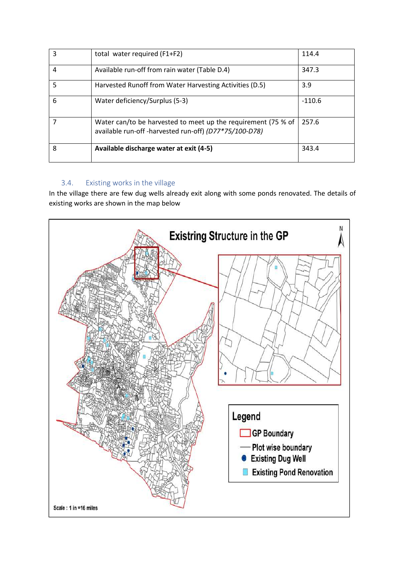| 3 | total water required (F1+F2)                                                                                           | 114.4    |
|---|------------------------------------------------------------------------------------------------------------------------|----------|
| 4 | Available run-off from rain water (Table D.4)                                                                          | 347.3    |
| 5 | Harvested Runoff from Water Harvesting Activities (D.5)                                                                | 3.9      |
| 6 | Water deficiency/Surplus (5-3)                                                                                         | $-110.6$ |
|   | Water can/to be harvested to meet up the requirement (75 % of<br>available run-off-harvested run-off) (D77*75/100-D78) | 257.6    |
| 8 | Available discharge water at exit (4-5)                                                                                | 343.4    |

## 3.4. Existing works in the village

<span id="page-14-0"></span>In the village there are few dug wells already exit along with some ponds renovated. The details of existing works are shown in the map below

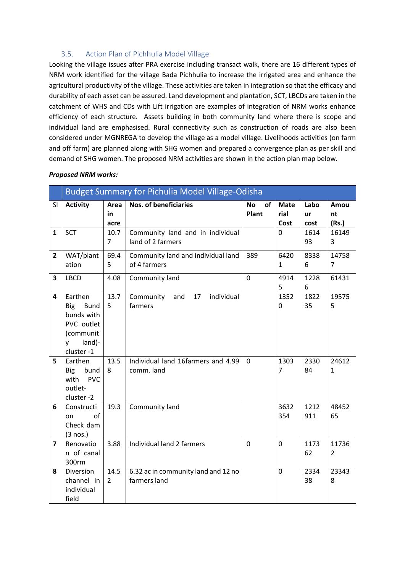## 3.5. Action Plan of Pichhulia Model Village

<span id="page-15-0"></span>Looking the village issues after PRA exercise including transact walk, there are 16 different types of NRM work identified for the village Bada Pichhulia to increase the irrigated area and enhance the agricultural productivity of the village. These activities are taken in integration so that the efficacy and durability of each asset can be assured. Land development and plantation, SCT, LBCDs are taken in the catchment of WHS and CDs with Lift irrigation are examples of integration of NRM works enhance efficiency of each structure. Assets building in both community land where there is scope and individual land are emphasised. Rural connectivity such as construction of roads are also been considered under MGNREGA to develop the village as a model village. Livelihoods activities (on farm and off farm) are planned along with SHG women and prepared a convergence plan as per skill and demand of SHG women. The proposed NRM activities are shown in the action plan map below.

|                | <b>Budget Summary for Pichulia Model Village-Odisha</b>                                            |                        |                                                       |                          |                             |                    |                         |  |  |
|----------------|----------------------------------------------------------------------------------------------------|------------------------|-------------------------------------------------------|--------------------------|-----------------------------|--------------------|-------------------------|--|--|
| <b>SI</b>      | <b>Activity</b>                                                                                    | Area<br>in<br>acre     | <b>Nos. of beneficiaries</b>                          | <b>No</b><br>of<br>Plant | <b>Mate</b><br>rial<br>Cost | Labo<br>ur<br>cost | Amou<br>nt<br>(Rs.)     |  |  |
| 1              | <b>SCT</b>                                                                                         | 10.7<br>$\overline{7}$ | Community land and in individual<br>land of 2 farmers |                          | 0                           | 1614<br>93         | 16149<br>3              |  |  |
| $\overline{2}$ | WAT/plant<br>ation                                                                                 | 69.4<br>5              | Community land and individual land<br>of 4 farmers    | 389                      | 6420<br>1                   | 8338<br>6          | 14758<br>$\overline{7}$ |  |  |
| 3              | <b>LBCD</b>                                                                                        | 4.08                   | Community land                                        | $\overline{0}$           | 4914<br>5                   | 1228<br>6          | 61431                   |  |  |
| 4              | Earthen<br><b>Bund</b><br>Big<br>bunds with<br>PVC outlet<br>(communit<br>land)-<br>v<br>cluster-1 | 13.7<br>5              | individual<br>and<br>17<br>Community<br>farmers       |                          | 1352<br>0                   | 1822<br>35         | 19575<br>5              |  |  |
| 5              | Earthen<br><b>Big</b><br>bund<br><b>PVC</b><br>with<br>outlet-<br>cluster -2                       | 13.5<br>8              | Individual land 16farmers and 4.99<br>comm. land      | 0                        | 1303<br>$\overline{7}$      | 2330<br>84         | 24612<br>$\mathbf{1}$   |  |  |
| 6              | Constructi<br>of<br>on<br>Check dam<br>(3 nos.)                                                    | 19.3                   | Community land                                        |                          | 3632<br>354                 | 1212<br>911        | 48452<br>65             |  |  |
| $\overline{ }$ | Renovatio<br>n of canal<br>300rm                                                                   | 3.88                   | Individual land 2 farmers                             | $\overline{0}$           | $\overline{0}$              | 1173<br>62         | 11736<br>$\overline{2}$ |  |  |
| 8              | Diversion<br>channel in<br>individual<br>field                                                     | 14.5<br>$\mathcal{L}$  | 6.32 ac in community land and 12 no<br>farmers land   |                          | 0                           | 2334<br>38         | 23343<br>8              |  |  |

#### *Proposed NRM works:*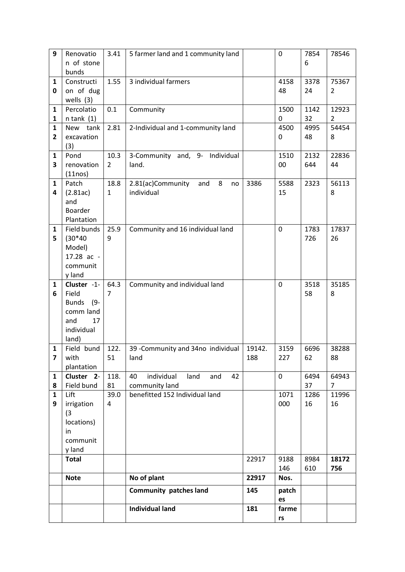| 9                       | Renovatio              | 3.41           | 5 farmer land and 1 community land    |        | $\mathbf 0$ | 7854 | 78546          |
|-------------------------|------------------------|----------------|---------------------------------------|--------|-------------|------|----------------|
|                         | n of stone             |                |                                       |        |             | 6    |                |
|                         | bunds                  |                |                                       |        |             |      |                |
| 1                       | Constructi             | 1.55           | 3 individual farmers                  |        | 4158        | 3378 | 75367          |
| 0                       | on of dug              |                |                                       |        | 48          | 24   | 2              |
|                         | wells $(3)$            |                |                                       |        |             |      |                |
| $\mathbf{1}$            | Percolatio             | 0.1            | Community                             |        | 1500        | 1142 | 12923          |
| 1                       | $n$ tank $(1)$         |                |                                       |        | 0           | 32   | $\overline{2}$ |
| $\mathbf{1}$            | New tank               | 2.81           |                                       |        | 4500        | 4995 | 54454          |
|                         |                        |                | 2-Individual and 1-community land     |        |             |      |                |
| $\mathbf{2}$            | excavation             |                |                                       |        | 0           | 48   | 8              |
|                         | (3)                    |                |                                       |        |             |      |                |
| $\mathbf{1}$            | Pond                   | 10.3           | 3-Community and, 9- Individual        |        | 1510        | 2132 | 22836          |
| 3                       | renovation             | $\overline{2}$ | land.                                 |        | 00          | 644  | 44             |
|                         | (11nos)                |                |                                       |        |             |      |                |
| $\mathbf{1}$            | Patch                  | 18.8           | 8<br>2.81(ac)Community<br>and<br>no   | 3386   | 5588        | 2323 | 56113          |
| 4                       | (2.81ac)               | $\mathbf{1}$   | individual                            |        | 15          |      | 8              |
|                         | and                    |                |                                       |        |             |      |                |
|                         | Boarder                |                |                                       |        |             |      |                |
|                         | Plantation             |                |                                       |        |             |      |                |
| $\mathbf{1}$            | Field bunds            | 25.9           | Community and 16 individual land      |        | 0           | 1783 | 17837          |
| 5                       | $(30*40)$              | 9              |                                       |        |             | 726  | 26             |
|                         | Model)                 |                |                                       |        |             |      |                |
|                         | $17.28$ ac -           |                |                                       |        |             |      |                |
|                         | communit               |                |                                       |        |             |      |                |
|                         | y land                 |                |                                       |        |             |      |                |
| 1                       | Cluster -1-            | 64.3           | Community and individual land         |        | 0           | 3518 | 35185          |
| 6                       | Field                  | 7              |                                       |        |             | 58   | 8              |
|                         | <b>Bunds</b><br>$(9 -$ |                |                                       |        |             |      |                |
|                         | comm land              |                |                                       |        |             |      |                |
|                         | and<br>17              |                |                                       |        |             |      |                |
|                         | individual             |                |                                       |        |             |      |                |
|                         | land)                  |                |                                       |        |             |      |                |
| $\mathbf{1}$            | Field bund             | 122.           | 39 - Community and 34no individual    | 19142. | 3159        | 6696 | 38288          |
| $\overline{\mathbf{z}}$ | with                   | 51             | land                                  | 188    | 227         | 62   | 88             |
|                         | plantation             |                |                                       |        |             |      |                |
| 1                       | Cluster 2-             | 118.           | individual<br>40<br>land<br>42<br>and |        | 0           | 6494 | 64943          |
| 8                       | Field bund             | 81             | community land                        |        |             | 37   | $\overline{7}$ |
| $\mathbf{1}$            | Lift                   | 39.0           | benefitted 152 Individual land        |        | 1071        | 1286 | 11996          |
| 9                       | irrigation             | 4              |                                       |        | 000         | 16   | 16             |
|                         | (3)                    |                |                                       |        |             |      |                |
|                         | locations)             |                |                                       |        |             |      |                |
|                         | in                     |                |                                       |        |             |      |                |
|                         | communit               |                |                                       |        |             |      |                |
|                         | y land                 |                |                                       |        |             |      |                |
|                         | <b>Total</b>           |                |                                       | 22917  | 9188        | 8984 | 18172          |
|                         |                        |                |                                       |        | 146         | 610  | 756            |
|                         | <b>Note</b>            |                | No of plant                           | 22917  | Nos.        |      |                |
|                         |                        |                | <b>Community patches land</b>         | 145    |             |      |                |
|                         |                        |                |                                       |        | patch<br>es |      |                |
|                         |                        |                | <b>Individual land</b>                | 181    | farme       |      |                |
|                         |                        |                |                                       |        |             |      |                |
|                         |                        |                |                                       |        | rs          |      |                |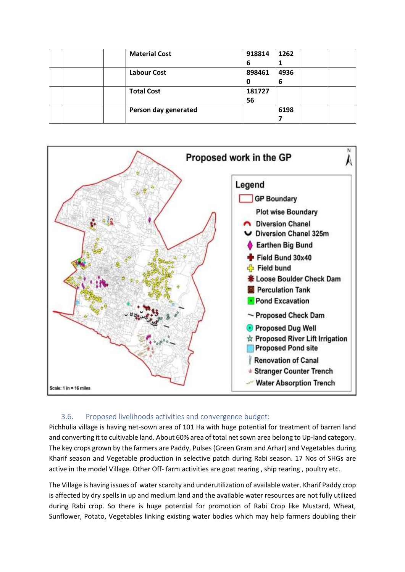|  | <b>Material Cost</b> | 918814 | 1262 |  |
|--|----------------------|--------|------|--|
|  |                      | 6      | ┻    |  |
|  | <b>Labour Cost</b>   | 898461 | 4936 |  |
|  |                      | 0      | 6    |  |
|  | <b>Total Cost</b>    | 181727 |      |  |
|  |                      | 56     |      |  |
|  | Person day generated |        | 6198 |  |
|  |                      |        |      |  |



#### 3.6. Proposed livelihoods activities and convergence budget:

<span id="page-17-0"></span>Pichhulia village is having net-sown area of 101 Ha with huge potential for treatment of barren land and converting it to cultivable land. About 60% area of total net sown area belong to Up-land category. The key crops grown by the farmers are Paddy, Pulses (Green Gram and Arhar) and Vegetables during Kharif season and Vegetable production in selective patch during Rabi season. 17 Nos of SHGs are active in the model Village. Other Off- farm activities are goat rearing , ship rearing , poultry etc.

The Village is having issues of water scarcity and underutilization of available water. Kharif Paddy crop is affected by dry spells in up and medium land and the available water resources are not fully utilized during Rabi crop. So there is huge potential for promotion of Rabi Crop like Mustard, Wheat, Sunflower, Potato, Vegetables linking existing water bodies which may help farmers doubling their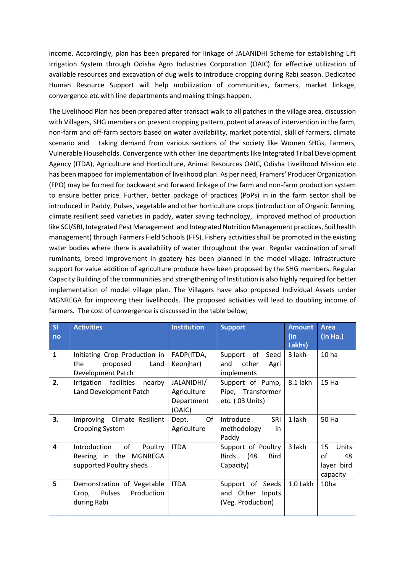income. Accordingly, plan has been prepared for linkage of JALANIDHI Scheme for establishing Lift Irrigation System through Odisha Agro Industries Corporation (OAIC) for effective utilization of available resources and excavation of dug wells to introduce cropping during Rabi season. Dedicated Human Resource Support will help mobilization of communities, farmers, market linkage, convergence etc with line departments and making things happen.

The Livelihood Plan has been prepared after transact walk to all patches in the village area, discussion with Villagers, SHG members on present cropping pattern, potential areas of intervention in the farm, non-farm and off-farm sectors based on water availability, market potential, skill of farmers, climate scenario and taking demand from various sections of the society like Women SHGs, Farmers, Vulnerable Households. Convergence with other line departments like Integrated Tribal Development Agency (ITDA), Agriculture and Horticulture, Animal Resources OAIC, Odisha Livelihood Mission etc has been mapped for implementation of livelihood plan. As per need, Framers' Producer Organization (FPO) may be formed for backward and forward linkage of the farm and non-farm production system to ensure better price. Further, better package of practices (PoPs) in in the farm sector shall be introduced in Paddy, Pulses, vegetable and other horticulture crops (introduction of Organic farming, climate resilient seed varieties in paddy, water saving technology, improved method of production like SCI/SRI, Integrated Pest Management and Integrated Nutrition Management practices, Soil health management) through Farmers Field Schools (FFS). Fishery activities shall be promoted in the existing water bodies where there is availability of water throughout the year. Regular vaccination of small ruminants, breed improvement in goatery has been planned in the model village. Infrastructure support for value addition of agriculture produce have been proposed by the SHG members. Regular Capacity Building of the communities and strengthening of Institution is also highly required for better implementation of model village plan. The Villagers have also proposed Individual Assets under MGNREGA for improving their livelihoods. The proposed activities will lead to doubling income of farmers. The cost of convergence is discussed in the table below;

| SI<br>no     | <b>Activities</b>                                                                  | <b>Institution</b>                                | <b>Support</b>                                                        | <b>Amount</b><br>$(\ln$<br>Lakhs) | <b>Area</b><br>(in Ha.)                           |
|--------------|------------------------------------------------------------------------------------|---------------------------------------------------|-----------------------------------------------------------------------|-----------------------------------|---------------------------------------------------|
| $\mathbf{1}$ | Initiating Crop Production in<br>the<br>proposed<br>Land<br>Development Patch      | FADP(ITDA,<br>Keonjhar)                           | Support of<br>Seed<br>other<br>and<br>Agri<br>implements              | 3 lakh                            | 10 <sub>ha</sub>                                  |
| 2.           | Irrigation facilities<br>nearby<br>Land Development Patch                          | JALANIDHI/<br>Agriculture<br>Department<br>(OAIC) | Support of Pump,<br>Pipe, Transformer<br>etc. (03 Units)              | 8.1 lakh                          | 15 Ha                                             |
| 3.           | Improving Climate Resilient<br><b>Cropping System</b>                              | Of<br>Dept.<br>Agriculture                        | Introduce<br>SRI<br>methodology<br>in<br>Paddy                        | 1 lakh                            | 50 Ha                                             |
| 4            | of<br>Introduction<br>Poultry<br>Rearing in the MGNREGA<br>supported Poultry sheds | <b>ITDA</b>                                       | Support of Poultry<br>(48<br><b>Birds</b><br><b>Bird</b><br>Capacity) | 3 lakh                            | 15<br>Units<br>οf<br>48<br>layer bird<br>capacity |
| 5            | Demonstration of Vegetable<br>Pulses<br>Production<br>Crop,<br>during Rabi         | <b>ITDA</b>                                       | Support of Seeds<br>and Other Inputs<br>(Veg. Production)             | 1.0 Lakh                          | 10ha                                              |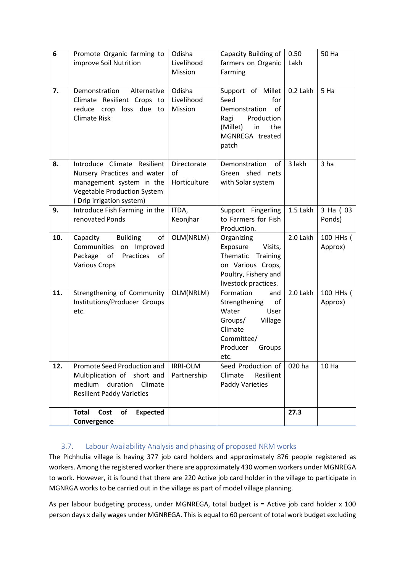| 6   | Promote Organic farming to<br>improve Soil Nutrition                                                                                                     | Odisha<br>Livelihood<br>Mission   | Capacity Building of<br>farmers on Organic<br>Farming                                                                                 | 0.50<br>Lakh | 50 Ha                |
|-----|----------------------------------------------------------------------------------------------------------------------------------------------------------|-----------------------------------|---------------------------------------------------------------------------------------------------------------------------------------|--------------|----------------------|
| 7.  | Demonstration<br>Alternative<br>Climate Resilient Crops to<br>reduce crop loss due<br>to<br><b>Climate Risk</b>                                          | Odisha<br>Livelihood<br>Mission   | Support of Millet<br>Seed<br>for<br>of<br>Demonstration<br>Production<br>Ragi<br>(Millet)<br>in<br>the<br>MGNREGA treated<br>patch    | 0.2 Lakh     | 5 Ha                 |
| 8.  | Introduce Climate Resilient<br>Nursery Practices and water<br>management system in the<br><b>Vegetable Production System</b><br>(Drip irrigation system) | Directorate<br>of<br>Horticulture | Demonstration<br>of<br>Green shed nets<br>with Solar system                                                                           | 3 lakh       | 3 <sub>ha</sub>      |
| 9.  | Introduce Fish Farming in the<br>renovated Ponds                                                                                                         | ITDA,<br>Keonjhar                 | Support Fingerling<br>to Farmers for Fish<br>Production.                                                                              | 1.5 Lakh     | 3 Ha (03<br>Ponds)   |
| 10. | Capacity<br><b>Building</b><br>of<br>Communities on Improved<br>Package<br>Practices<br>of<br>of<br><b>Various Crops</b>                                 | OLM(NRLM)                         | Organizing<br>Exposure<br>Visits,<br>Thematic<br>Training<br>on Various Crops,<br>Poultry, Fishery and<br>livestock practices.        | 2.0 Lakh     | 100 HHs (<br>Approx) |
| 11. | Strengthening of Community<br>Institutions/Producer Groups<br>etc.                                                                                       | OLM(NRLM)                         | Formation<br>and<br>of<br>Strengthening<br>Water<br>User<br>Village<br>Groups/<br>Climate<br>Committee/<br>Producer<br>Groups<br>etc. | 2.0 Lakh     | 100 HHs (<br>Approx) |
| 12. | Promote Seed Production and<br>Multiplication of short and<br>medium duration<br>Climate<br><b>Resilient Paddy Varieties</b>                             | IRRI-OLM<br>Partnership           | Seed Production of<br>Resilient<br>Climate<br><b>Paddy Varieties</b>                                                                  | 020 ha       | 10 Ha                |
|     | of<br><b>Total</b><br>Cost<br><b>Expected</b><br>Convergence                                                                                             |                                   |                                                                                                                                       | 27.3         |                      |

## <span id="page-19-0"></span>3.7. Labour Availability Analysis and phasing of proposed NRM works

The Pichhulia village is having 377 job card holders and approximately 876 people registered as workers. Among the registered worker there are approximately 430 women workers under MGNREGA to work. However, it is found that there are 220 Active job card holder in the village to participate in MGNRGA works to be carried out in the village as part of model village planning.

As per labour budgeting process, under MGNREGA, total budget is = Active job card holder x 100 person days x daily wages under MGNREGA. This is equal to 60 percent of total work budget excluding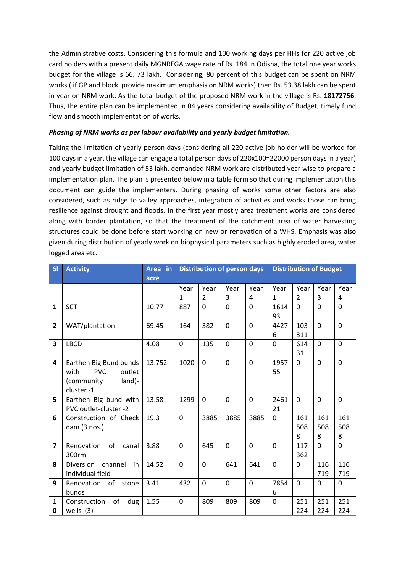the Administrative costs. Considering this formula and 100 working days per HHs for 220 active job card holders with a present daily MGNREGA wage rate of Rs. 184 in Odisha, the total one year works budget for the village is 66. 73 lakh. Considering, 80 percent of this budget can be spent on NRM works ( if GP and block provide maximum emphasis on NRM works) then Rs. 53.38 lakh can be spent in year on NRM work. As the total budget of the proposed NRM work in the village is Rs. **18172756**. Thus, the entire plan can be implemented in 04 years considering availability of Budget, timely fund flow and smooth implementation of works.

#### *Phasing of NRM works as per labour availability and yearly budget limitation.*

Taking the limitation of yearly person days (considering all 220 active job holder will be worked for 100 days in a year, the village can engage a total person days of 220x100=22000 person days in a year) and yearly budget limitation of 53 lakh, demanded NRM work are distributed year wise to prepare a implementation plan. The plan is presented below in a table form so that during implementation this document can guide the implementers. During phasing of works some other factors are also considered, such as ridge to valley approaches, integration of activities and works those can bring resilience against drought and floods. In the first year mostly area treatment works are considered along with border plantation, so that the treatment of the catchment area of water harvesting structures could be done before start working on new or renovation of a WHS. Emphasis was also given during distribution of yearly work on biophysical parameters such as highly eroded area, water logged area etc.

| SI             | <b>Activity</b>                                                                              | Area in<br>acre | <b>Distribution of person days</b> |              |                |                |            | <b>Distribution of Budget</b> |                 |                 |
|----------------|----------------------------------------------------------------------------------------------|-----------------|------------------------------------|--------------|----------------|----------------|------------|-------------------------------|-----------------|-----------------|
|                |                                                                                              |                 | Year                               | Year         | Year           | Year           | Year       | Year                          | Year            | Year            |
|                |                                                                                              |                 | 1                                  | 2            | 3              | 4              | 1          | $\overline{2}$                | 3               | 4               |
| $\mathbf{1}$   | <b>SCT</b>                                                                                   | 10.77           | 887                                | $\Omega$     | 0              | $\Omega$       | 1614<br>93 | $\mathbf{0}$                  | $\Omega$        | $\Omega$        |
| 2              | WAT/plantation                                                                               | 69.45           | 164                                | 382          | $\overline{0}$ | 0              | 4427<br>6  | 103<br>311                    | 0               | $\overline{0}$  |
| 3              | <b>LBCD</b>                                                                                  | 4.08            | $\mathbf 0$                        | 135          | $\overline{0}$ | 0              | 0          | 614<br>31                     | $\mathbf 0$     | $\Omega$        |
| 4              | Earthen Big Bund bunds<br><b>PVC</b><br>with<br>outlet<br>land)-<br>(community)<br>cluster-1 | 13.752          | 1020                               | $\mathbf 0$  | 0              | $\mathbf 0$    | 1957<br>55 | $\Omega$                      | 0               | $\Omega$        |
| 5.             | Earthen Big bund with<br>PVC outlet-cluster -2                                               | 13.58           | 1299                               | $\mathbf{0}$ | 0              | $\Omega$       | 2461<br>21 | $\Omega$                      | 0               | 0               |
| 6              | Construction of Check<br>dam $(3$ nos.)                                                      | 19.3            | $\mathbf 0$                        | 3885         | 3885           | 3885           | 0          | 161<br>508<br>8               | 161<br>508<br>8 | 161<br>508<br>8 |
| $\overline{7}$ | of<br>Renovation<br>canal<br>300rm                                                           | 3.88            | $\mathbf 0$                        | 645          | 0              | $\overline{0}$ | $\Omega$   | 117<br>362                    | 0               | $\Omega$        |
| 8              | channel<br>Diversion<br>in<br>individual field                                               | 14.52           | $\mathbf 0$                        | $\mathbf 0$  | 641            | 641            | 0          | 0                             | 116<br>719      | 116<br>719      |
| 9              | of<br>Renovation<br>stone<br>bunds                                                           | 3.41            | 432                                | 0            | 0              | $\mathbf 0$    | 7854<br>6  | 0                             | 0               | 0               |
| 1<br>0         | of<br>Construction<br>dug<br>wells $(3)$                                                     | 1.55            | $\mathbf 0$                        | 809          | 809            | 809            | 0          | 251<br>224                    | 251<br>224      | 251<br>224      |